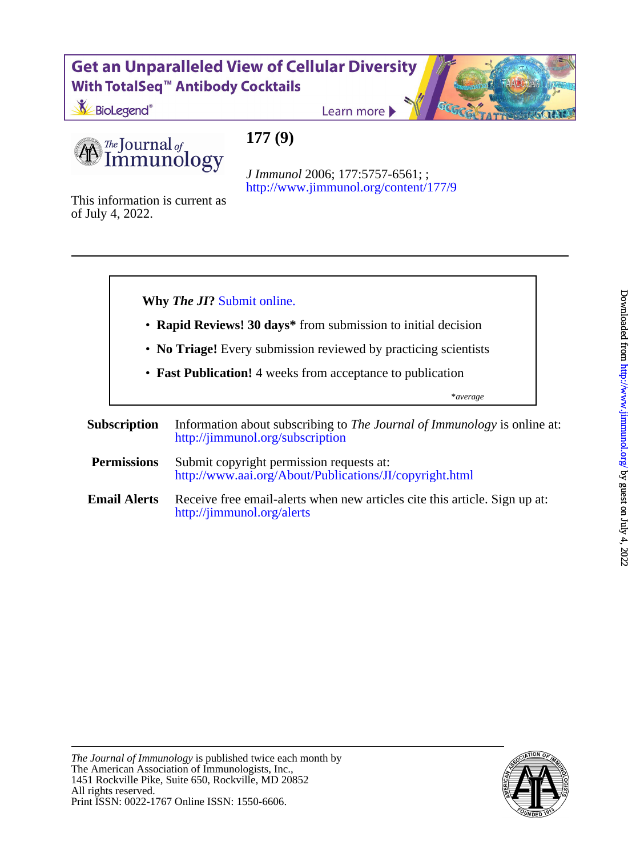## **Get an Unparalleled View of Cellular Diversity** With TotalSeq<sup>™</sup> Antibody Cocktails

**177 (9)**

BioLegend<sup>®</sup>

Learn more

The Journal of mmunology

<http://www.jimmunol.org/content/177/9> *J Immunol* 2006; 177:5757-6561; ;

of July 4, 2022. This information is current as



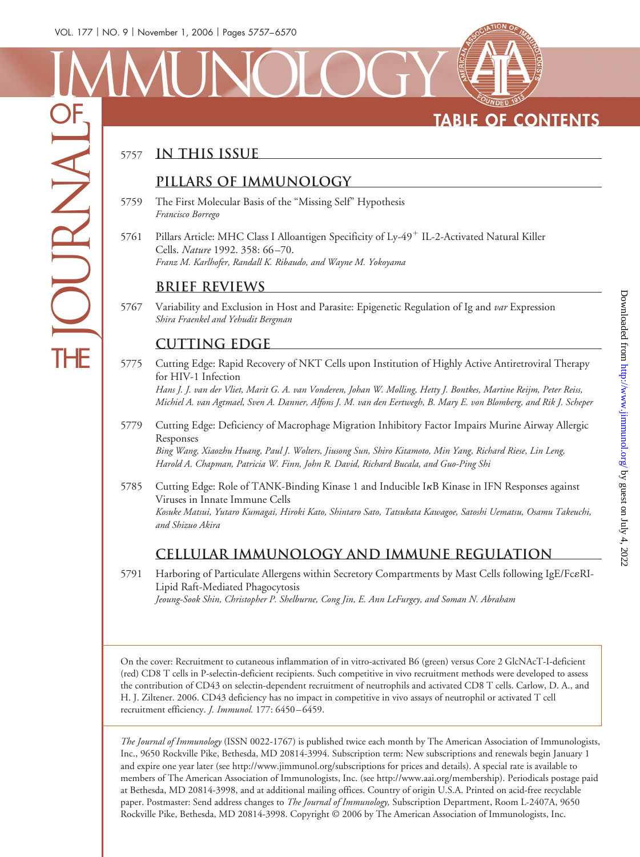# **TABLE OF CONTENTS**

## <sup>5757</sup> **In This Issue**

#### **Pillars of Immunology**

- 5759 The First Molecular Basis of the "Missing Self" Hypothesis *Francisco Borrego*
- 5761 Pillars Article: MHC Class I Alloantigen Specificity of Ly-49<sup>+</sup> IL-2-Activated Natural Killer Cells. *Nature* 1992. 358: 66 –70. *Franz M. Karlhofer, Randall K. Ribaudo, and Wayne M. Yokoyama*

#### **Brief Reviews**

5767 Variability and Exclusion in Host and Parasite: Epigenetic Regulation of Ig and *var* Expression *Shira Fraenkel and Yehudit Bergman*

#### **Cutting Edge**

5775 Cutting Edge: Rapid Recovery of NKT Cells upon Institution of Highly Active Antiretroviral Therapy for HIV-1 Infection *Hans J. J. van der Vliet, Marit G. A. van Vonderen, Johan W. Molling, Hetty J. Bontkes, Martine Reijm, Peter Reiss,*

*Michiel A. van Agtmael, Sven A. Danner, Alfons J. M. van den Eertwegh, B. Mary E. von Blomberg, and Rik J. Scheper*

5779 Cutting Edge: Deficiency of Macrophage Migration Inhibitory Factor Impairs Murine Airway Allergic Responses

*Bing Wang, Xiaozhu Huang, Paul J. Wolters, Jiusong Sun, Shiro Kitamoto, Min Yang, Richard Riese, Lin Leng, Harold A. Chapman, Patricia W. Finn, John R. David, Richard Bucala, and Guo-Ping Shi*

5785 Cutting Edge: Role of TANK-Binding Kinase 1 and Inducible IRB Kinase in IFN Responses against Viruses in Innate Immune Cells *Kosuke Matsui, Yutaro Kumagai, Hiroki Kato, Shintaro Sato, Tatsukata Kawagoe, Satoshi Uematsu, Osamu Takeuchi, and Shizuo Akira*

### **Cellular Immunology and Immune Regulation**

5791 Harboring of Particulate Allergens within Secretory Compartments by Mast Cells following IgE/FceRI-Lipid Raft-Mediated Phagocytosis *Jeoung-Sook Shin, Christopher P. Shelburne, Cong Jin, E. Ann LeFurgey, and Soman N. Abraham*

On the cover: Recruitment to cutaneous inflammation of in vitro-activated B6 (green) versus Core 2 GlcNAcT-I-deficient (red) CD8 T cells in P-selectin-deficient recipients. Such competitive in vivo recruitment methods were developed to assess the contribution of CD43 on selectin-dependent recruitment of neutrophils and activated CD8 T cells. Carlow, D. A., and H. J. Ziltener. 2006. CD43 deficiency has no impact in competitive in vivo assays of neutrophil or activated T cell recruitment efficiency. *J. Immunol.* 177: 6450 – 6459.

*The Journal of Immunology* (ISSN 0022-1767) is published twice each month by The American Association of Immunologists, Inc., 9650 Rockville Pike, Bethesda, MD 20814-3994. Subscription term: New subscriptions and renewals begin January 1 and expire one year later (see http://www.jimmunol.org/subscriptions for prices and details). A special rate is available to members of The American Association of Immunologists, Inc. (see http://www.aai.org/membership). Periodicals postage paid at Bethesda, MD 20814-3998, and at additional mailing offices. Country of origin U.S.A. Printed on acid-free recyclable paper. Postmaster: Send address changes to *The Journal of Immunology,* Subscription Department, Room L-2407A, 9650 Rockville Pike, Bethesda, MD 20814-3998. Copyright © 2006 by The American Association of Immunologists, Inc.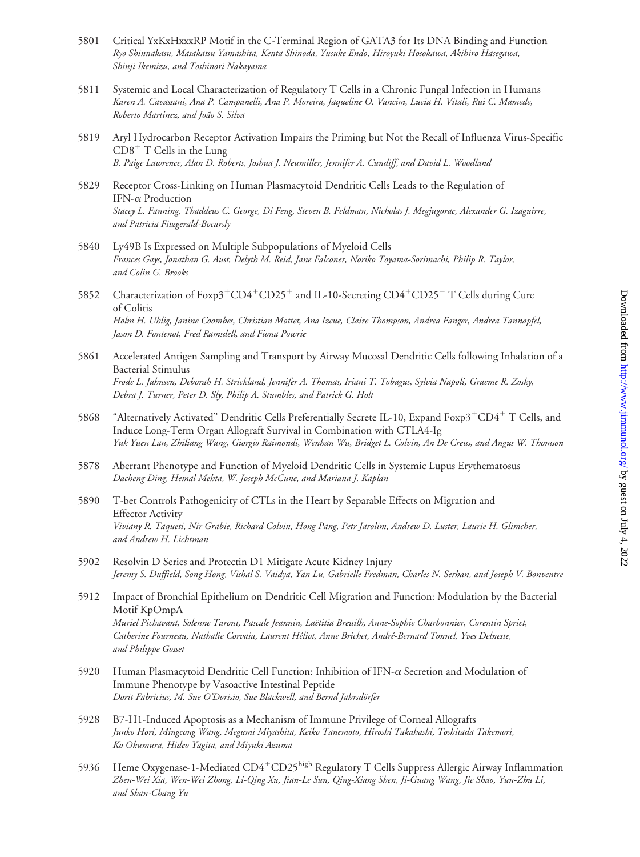- 5801 Critical YxKxHxxxRP Motif in the C-Terminal Region of GATA3 for Its DNA Binding and Function *Ryo Shinnakasu, Masakatsu Yamashita, Kenta Shinoda, Yusuke Endo, Hiroyuki Hosokawa, Akihiro Hasegawa, Shinji Ikemizu, and Toshinori Nakayama*
- 5811 Systemic and Local Characterization of Regulatory T Cells in a Chronic Fungal Infection in Humans *Karen A. Cavassani, Ana P. Campanelli, Ana P. Moreira, Jaqueline O. Vancim, Lucia H. Vitali, Rui C. Mamede, Roberto Martinez, and Joa˜o S. Silva*
- 5819 Aryl Hydrocarbon Receptor Activation Impairs the Priming but Not the Recall of Influenza Virus-Specific  $CD8<sup>+</sup>$  T Cells in the Lung *B. Paige Lawrence, Alan D. Roberts, Joshua J. Neumiller, Jennifer A. Cundiff, and David L. Woodland*
- 5829 Receptor Cross-Linking on Human Plasmacytoid Dendritic Cells Leads to the Regulation of IFN- $\alpha$  Production *Stacey L. Fanning, Thaddeus C. George, Di Feng, Steven B. Feldman, Nicholas J. Megjugorac, Alexander G. Izaguirre, and Patricia Fitzgerald-Bocarsly*
- 5840 Ly49B Is Expressed on Multiple Subpopulations of Myeloid Cells *Frances Gays, Jonathan G. Aust, Delyth M. Reid, Jane Falconer, Noriko Toyama-Sorimachi, Philip R. Taylor, and Colin G. Brooks*
- 5852 Characterization of  $F\exp 3^+CD4^+CD25^+$  and IL-10-Secreting  $CD4^+CD25^+$  T Cells during Cure of Colitis *Holm H. Uhlig, Janine Coombes, Christian Mottet, Ana Izcue, Claire Thompson, Andrea Fanger, Andrea Tannapfel, Jason D. Fontenot, Fred Ramsdell, and Fiona Powrie*
- 5861 Accelerated Antigen Sampling and Transport by Airway Mucosal Dendritic Cells following Inhalation of a Bacterial Stimulus *Frode L. Jahnsen, Deborah H. Strickland, Jennifer A. Thomas, Iriani T. Tobagus, Sylvia Napoli, Graeme R. Zosky, Debra J. Turner, Peter D. Sly, Philip A. Stumbles, and Patrick G. Holt*
- 5868 "Alternatively Activated" Dendritic Cells Preferentially Secrete IL-10, Expand Foxp $3^+$ CD4<sup>+</sup> T Cells, and Induce Long-Term Organ Allograft Survival in Combination with CTLA4-Ig *Yuk Yuen Lan, Zhiliang Wang, Giorgio Raimondi, Wenhan Wu, Bridget L. Colvin, An De Creus, and Angus W. Thomson*
- 5878 Aberrant Phenotype and Function of Myeloid Dendritic Cells in Systemic Lupus Erythematosus *Dacheng Ding, Hemal Mehta, W. Joseph McCune, and Mariana J. Kaplan*
- 5890 T-bet Controls Pathogenicity of CTLs in the Heart by Separable Effects on Migration and Effector Activity *Viviany R. Taqueti, Nir Grabie, Richard Colvin, Hong Pang, Petr Jarolim, Andrew D. Luster, Laurie H. Glimcher, and Andrew H. Lichtman*
- 5902 Resolvin D Series and Protectin D1 Mitigate Acute Kidney Injury *Jeremy S. Duffield, Song Hong, Vishal S. Vaidya, Yan Lu, Gabrielle Fredman, Charles N. Serhan, and Joseph V. Bonventre*
- 5912 Impact of Bronchial Epithelium on Dendritic Cell Migration and Function: Modulation by the Bacterial Motif KpOmpA *Muriel Pichavant, Solenne Taront, Pascale Jeannin, Lae¨titia Breuilh, Anne-Sophie Charbonnier, Corentin Spriet, Catherine Fourneau, Nathalie Corvaia, Laurent He´liot, Anne Brichet, Andre´-Bernard Tonnel, Yves Delneste, and Philippe Gosset*
- 5920 Human Plasmacytoid Dendritic Cell Function: Inhibition of IFN- $\alpha$  Secretion and Modulation of Immune Phenotype by Vasoactive Intestinal Peptide Dorit Fabricius, M. Sue O'Dorisio, Sue Blackwell, and Bernd Jahrsdörfer
- 5928 B7-H1-Induced Apoptosis as a Mechanism of Immune Privilege of Corneal Allografts *Junko Hori, Mingcong Wang, Megumi Miyashita, Keiko Tanemoto, Hiroshi Takahashi, Toshitada Takemori, Ko Okumura, Hideo Yagita, and Miyuki Azuma*
- 5936 Heme Oxygenase-1-Mediated CD4<sup>+</sup>CD25<sup>high</sup> Regulatory T Cells Suppress Allergic Airway Inflammation *Zhen-Wei Xia, Wen-Wei Zhong, Li-Qing Xu, Jian-Le Sun, Qing-Xiang Shen, Ji-Guang Wang, Jie Shao, Yun-Zhu Li, and Shan-Chang Yu*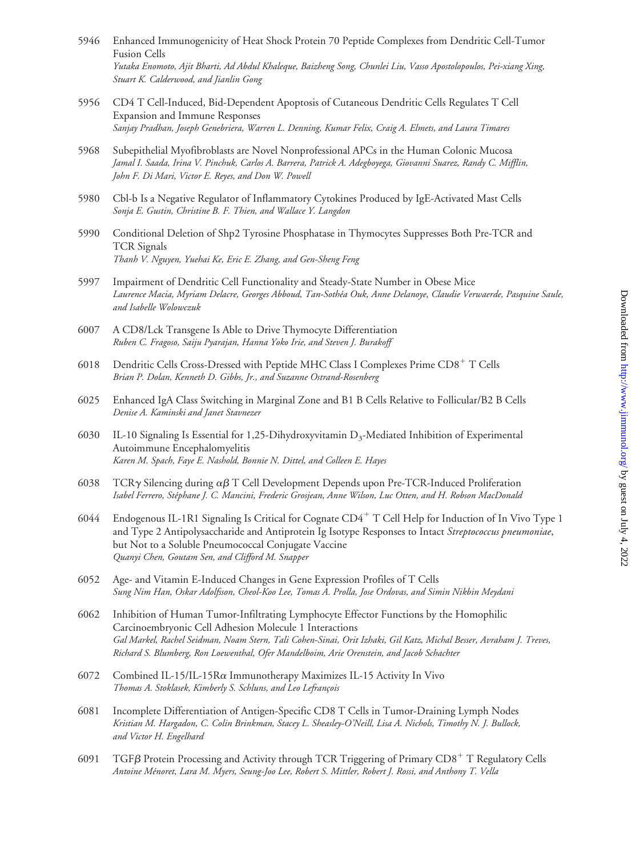- 5946 Enhanced Immunogenicity of Heat Shock Protein 70 Peptide Complexes from Dendritic Cell-Tumor Fusion Cells *Yutaka Enomoto, Ajit Bharti, Ad Abdul Khaleque, Baizheng Song, Chunlei Liu, Vasso Apostolopoulos, Pei-xiang Xing, Stuart K. Calderwood, and Jianlin Gong*
- 5956 CD4 T Cell-Induced, Bid-Dependent Apoptosis of Cutaneous Dendritic Cells Regulates T Cell Expansion and Immune Responses *Sanjay Pradhan, Joseph Genebriera, Warren L. Denning, Kumar Felix, Craig A. Elmets, and Laura Timares*
- 5968 Subepithelial Myofibroblasts are Novel Nonprofessional APCs in the Human Colonic Mucosa *Jamal I. Saada, Irina V. Pinchuk, Carlos A. Barrera, Patrick A. Adegboyega, Giovanni Suarez, Randy C. Mifflin, John F. Di Mari, Victor E. Reyes, and Don W. Powell*
- 5980 Cbl-b Is a Negative Regulator of Inflammatory Cytokines Produced by IgE-Activated Mast Cells *Sonja E. Gustin, Christine B. F. Thien, and Wallace Y. Langdon*
- 5990 Conditional Deletion of Shp2 Tyrosine Phosphatase in Thymocytes Suppresses Both Pre-TCR and TCR Signals *Thanh V. Nguyen, Yuehai Ke, Eric E. Zhang, and Gen-Sheng Feng*
- 5997 Impairment of Dendritic Cell Functionality and Steady-State Number in Obese Mice *Laurence Macia, Myriam Delacre, Georges Abboud, Tan-Sothe´a Ouk, Anne Delanoye, Claudie Verwaerde, Pasquine Saule, and Isabelle Wolowczuk*
- 6007 A CD8/Lck Transgene Is Able to Drive Thymocyte Differentiation *Ruben C. Fragoso, Saiju Pyarajan, Hanna Yoko Irie, and Steven J. Burakoff*
- 6018 Dendritic Cells Cross-Dressed with Peptide MHC Class I Complexes Prime CD8<sup>+</sup> T Cells *Brian P. Dolan, Kenneth D. Gibbs, Jr., and Suzanne Ostrand-Rosenberg*
- 6025 Enhanced IgA Class Switching in Marginal Zone and B1 B Cells Relative to Follicular/B2 B Cells *Denise A. Kaminski and Janet Stavnezer*
- 6030 IL-10 Signaling Is Essential for 1,25-Dihydroxyvitamin  $D_3$ -Mediated Inhibition of Experimental Autoimmune Encephalomyelitis *Karen M. Spach, Faye E. Nashold, Bonnie N. Dittel, and Colleen E. Hayes*
- 6038 TCR $\gamma$  Silencing during  $\alpha\beta$  T Cell Development Depends upon Pre-TCR-Induced Proliferation *Isabel Ferrero, Ste´phane J. C. Mancini, Frederic Grosjean, Anne Wilson, Luc Otten, and H. Robson MacDonald*
- 6044 Endogenous IL-1R1 Signaling Is Critical for Cognate CD4 T Cell Help for Induction of In Vivo Type 1 and Type 2 Antipolysaccharide and Antiprotein Ig Isotype Responses to Intact *Streptococcus pneumoniae*, but Not to a Soluble Pneumococcal Conjugate Vaccine *Quanyi Chen, Goutam Sen, and Clifford M. Snapper*
- 6052 Age- and Vitamin E-Induced Changes in Gene Expression Profiles of T Cells *Sung Nim Han, Oskar Adolfsson, Cheol-Koo Lee, Tomas A. Prolla, Jose Ordovas, and Simin Nikbin Meydani*
- 6062 Inhibition of Human Tumor-Infiltrating Lymphocyte Effector Functions by the Homophilic Carcinoembryonic Cell Adhesion Molecule 1 Interactions *Gal Markel, Rachel Seidman, Noam Stern, Tali Cohen-Sinai, Orit Izhaki, Gil Katz, Michal Besser, Avraham J. Treves, Richard S. Blumberg, Ron Loewenthal, Ofer Mandelboim, Arie Orenstein, and Jacob Schachter*
- 6072 Combined IL-15/IL-15R $\alpha$  Immunotherapy Maximizes IL-15 Activity In Vivo *Thomas A. Stoklasek, Kimberly S. Schluns, and Leo Lefrançois*
- 6081 Incomplete Differentiation of Antigen-Specific CD8 T Cells in Tumor-Draining Lymph Nodes *Kristian M. Hargadon, C. Colin Brinkman, Stacey L. Sheasley-O'Neill, Lisa A. Nichols, Timothy N. J. Bullock, and Victor H. Engelhard*
- 6091 TGF $\beta$  Protein Processing and Activity through TCR Triggering of Primary CD8<sup>+</sup> T Regulatory Cells *Antoine Me´noret, Lara M. Myers, Seung-Joo Lee, Robert S. Mittler, Robert J. Rossi, and Anthony T. Vella*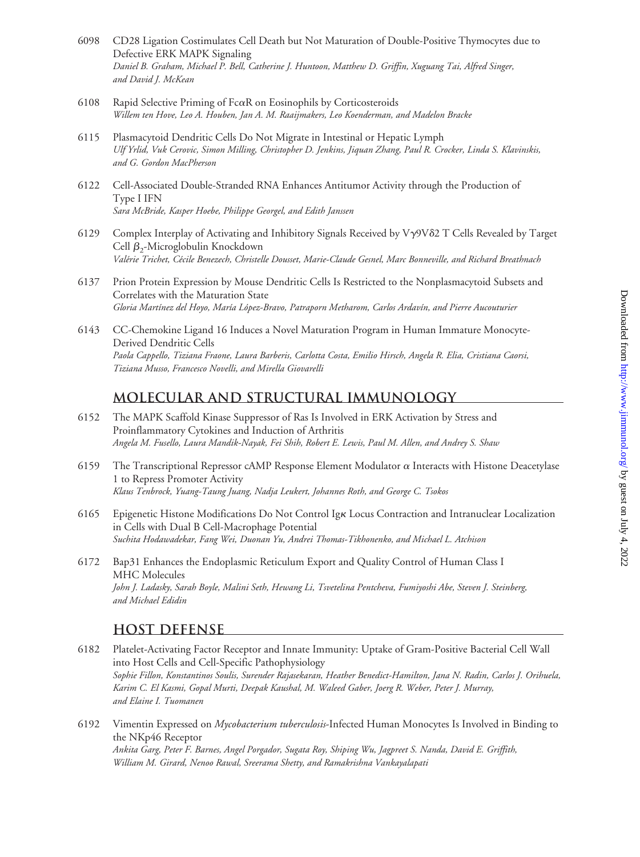- 6098 CD28 Ligation Costimulates Cell Death but Not Maturation of Double-Positive Thymocytes due to Defective ERK MAPK Signaling *Daniel B. Graham, Michael P. Bell, Catherine J. Huntoon, Matthew D. Griffin, Xuguang Tai, Alfred Singer, and David J. McKean*
- 6108 Rapid Selective Priming of Fc $\alpha$ R on Eosinophils by Corticosteroids *Willem ten Hove, Leo A. Houben, Jan A. M. Raaijmakers, Leo Koenderman, and Madelon Bracke*
- 6115 Plasmacytoid Dendritic Cells Do Not Migrate in Intestinal or Hepatic Lymph *Ulf Yrlid, Vuk Cerovic, Simon Milling, Christopher D. Jenkins, Jiquan Zhang, Paul R. Crocker, Linda S. Klavinskis, and G. Gordon MacPherson*
- 6122 Cell-Associated Double-Stranded RNA Enhances Antitumor Activity through the Production of Type I IFN *Sara McBride, Kasper Hoebe, Philippe Georgel, and Edith Janssen*
- 6129 Complex Interplay of Activating and Inhibitory Signals Received by V9V2 T Cells Revealed by Target Cell  $\beta_2$ -Microglobulin Knockdown *Vale´rie Trichet, Ce´cile Benezech, Christelle Dousset, Marie-Claude Gesnel, Marc Bonneville, and Richard Breathnach*
- 6137 Prion Protein Expression by Mouse Dendritic Cells Is Restricted to the Nonplasmacytoid Subsets and Correlates with the Maturation State *Gloria Martı´nez del Hoyo, Marı´a Lo´pez-Bravo, Patraporn Metharom, Carlos Ardavı´n, and Pierre Aucouturier*
- 6143 CC-Chemokine Ligand 16 Induces a Novel Maturation Program in Human Immature Monocyte-Derived Dendritic Cells *Paola Cappello, Tiziana Fraone, Laura Barberis, Carlotta Costa, Emilio Hirsch, Angela R. Elia, Cristiana Caorsi, Tiziana Musso, Francesco Novelli, and Mirella Giovarelli*

#### **Molecular and Structural Immunology**

- 6152 The MAPK Scaffold Kinase Suppressor of Ras Is Involved in ERK Activation by Stress and Proinflammatory Cytokines and Induction of Arthritis *Angela M. Fusello, Laura Mandik-Nayak, Fei Shih, Robert E. Lewis, Paul M. Allen, and Andrey S. Shaw*
- 6159 The Transcriptional Repressor cAMP Response Element Modulator  $\alpha$  Interacts with Histone Deacetylase 1 to Repress Promoter Activity *Klaus Tenbrock, Yuang-Taung Juang, Nadja Leukert, Johannes Roth, and George C. Tsokos*
- 6165 Epigenetic Histone Modifications Do Not Control Igk Locus Contraction and Intranuclear Localization in Cells with Dual B Cell-Macrophage Potential *Suchita Hodawadekar, Fang Wei, Duonan Yu, Andrei Thomas-Tikhonenko, and Michael L. Atchison*
- 6172 Bap31 Enhances the Endoplasmic Reticulum Export and Quality Control of Human Class I MHC Molecules *John J. Ladasky, Sarah Boyle, Malini Seth, Hewang Li, Tsvetelina Pentcheva, Fumiyoshi Abe, Steven J. Steinberg, and Michael Edidin*

#### **Host Defense**

6182 Platelet-Activating Factor Receptor and Innate Immunity: Uptake of Gram-Positive Bacterial Cell Wall into Host Cells and Cell-Specific Pathophysiology *Sophie Fillon, Konstantinos Soulis, Surender Rajasekaran, Heather Benedict-Hamilton, Jana N. Radin, Carlos J. Orihuela, Karim C. El Kasmi, Gopal Murti, Deepak Kaushal, M. Waleed Gaber, Joerg R. Weber, Peter J. Murray, and Elaine I. Tuomanen*

6192 Vimentin Expressed on *Mycobacterium tuberculosis*-Infected Human Monocytes Is Involved in Binding to the NKp46 Receptor *Ankita Garg, Peter F. Barnes, Angel Porgador, Sugata Roy, Shiping Wu, Jagpreet S. Nanda, David E. Griffith, William M. Girard, Nenoo Rawal, Sreerama Shetty, and Ramakrishna Vankayalapati*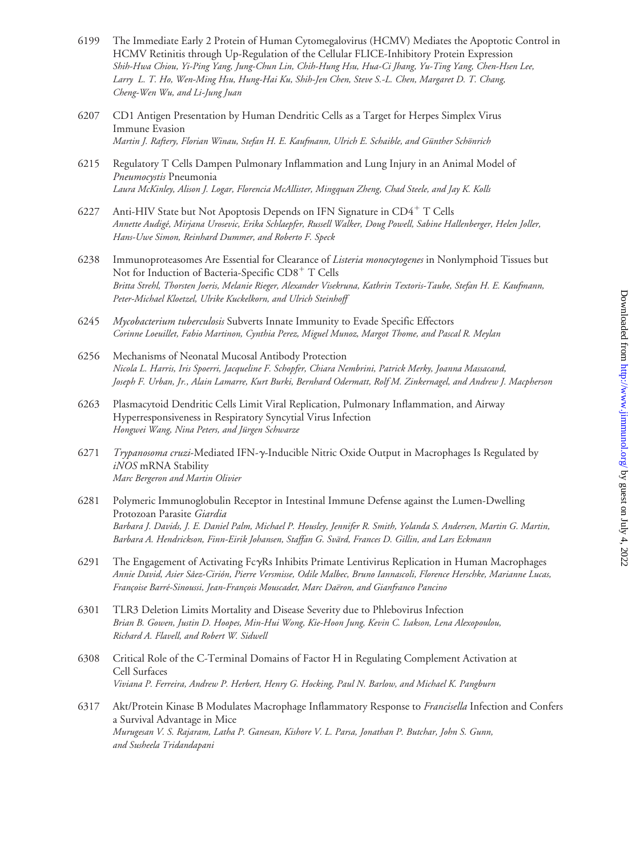- 6199 The Immediate Early 2 Protein of Human Cytomegalovirus (HCMV) Mediates the Apoptotic Control in HCMV Retinitis through Up-Regulation of the Cellular FLICE-Inhibitory Protein Expression *Shih-Hwa Chiou, Yi-Ping Yang, Jung-Chun Lin, Chih-Hung Hsu, Hua-Ci Jhang, Yu-Ting Yang, Chen-Hsen Lee, Larry L. T. Ho, Wen-Ming Hsu, Hung-Hai Ku, Shih-Jen Chen, Steve S.-L. Chen, Margaret D. T. Chang, Cheng-Wen Wu, and Li-Jung Juan*
- 6207 CD1 Antigen Presentation by Human Dendritic Cells as a Target for Herpes Simplex Virus Immune Evasion *Martin J. Raftery, Florian Winau, Stefan H. E. Kaufmann, Ulrich E. Schaible, and Günther Schönrich*
- 6215 Regulatory T Cells Dampen Pulmonary Inflammation and Lung Injury in an Animal Model of *Pneumocystis* Pneumonia *Laura McKinley, Alison J. Logar, Florencia McAllister, Mingquan Zheng, Chad Steele, and Jay K. Kolls*
- 6227 Anti-HIV State but Not Apoptosis Depends on IFN Signature in CD4<sup>+</sup> T Cells *Annette Audige´, Mirjana Urosevic, Erika Schlaepfer, Russell Walker, Doug Powell, Sabine Hallenberger, Helen Joller, Hans-Uwe Simon, Reinhard Dummer, and Roberto F. Speck*
- 6238 Immunoproteasomes Are Essential for Clearance of *Listeria monocytogenes* in Nonlymphoid Tissues but Not for Induction of Bacteria-Specific CD8<sup>+</sup> T Cells *Britta Strehl, Thorsten Joeris, Melanie Rieger, Alexander Visekruna, Kathrin Textoris-Taube, Stefan H. E. Kaufmann, Peter-Michael Kloetzel, Ulrike Kuckelkorn, and Ulrich Steinhoff*
- 6245 *Mycobacterium tuberculosis* Subverts Innate Immunity to Evade Specific Effectors *Corinne Loeuillet, Fabio Martinon, Cynthia Perez, Miguel Munoz, Margot Thome, and Pascal R. Meylan*
- 6256 Mechanisms of Neonatal Mucosal Antibody Protection *Nicola L. Harris, Iris Spoerri, Jacqueline F. Schopfer, Chiara Nembrini, Patrick Merky, Joanna Massacand, Joseph F. Urban, Jr., Alain Lamarre, Kurt Burki, Bernhard Odermatt, Rolf M. Zinkernagel, and Andrew J. Macpherson*
- 6263 Plasmacytoid Dendritic Cells Limit Viral Replication, Pulmonary Inflammation, and Airway Hyperresponsiveness in Respiratory Syncytial Virus Infection *Hongwei Wang, Nina Peters, and Ju¨rgen Schwarze*
- 6271 *Trypanosoma cruzi-*Mediated IFN-y-Inducible Nitric Oxide Output in Macrophages Is Regulated by *iNOS* mRNA Stability *Marc Bergeron and Martin Olivier*
- 6281 Polymeric Immunoglobulin Receptor in Intestinal Immune Defense against the Lumen-Dwelling Protozoan Parasite *Giardia Barbara J. Davids, J. E. Daniel Palm, Michael P. Housley, Jennifer R. Smith, Yolanda S. Andersen, Martin G. Martin, Barbara A. Hendrickson, Finn-Eirik Johansen, Staffan G. Sva¨rd, Frances D. Gillin, and Lars Eckmann*
- 6291 The Engagement of Activating FcRs Inhibits Primate Lentivirus Replication in Human Macrophages *Annie David, Asier Sa´ez-Cirio´n, Pierre Versmisse, Odile Malbec, Bruno Iannascoli, Florence Herschke, Marianne Lucas, Franc¸oise Barre´-Sinoussi, Jean-Franc¸ois Mouscadet, Marc Dae¨ron, and Gianfranco Pancino*
- 6301 TLR3 Deletion Limits Mortality and Disease Severity due to Phlebovirus Infection *Brian B. Gowen, Justin D. Hoopes, Min-Hui Wong, Kie-Hoon Jung, Kevin C. Isakson, Lena Alexopoulou, Richard A. Flavell, and Robert W. Sidwell*
- 6308 Critical Role of the C-Terminal Domains of Factor H in Regulating Complement Activation at Cell Surfaces *Viviana P. Ferreira, Andrew P. Herbert, Henry G. Hocking, Paul N. Barlow, and Michael K. Pangburn*
- 6317 Akt/Protein Kinase B Modulates Macrophage Inflammatory Response to *Francisella* Infection and Confers a Survival Advantage in Mice *Murugesan V. S. Rajaram, Latha P. Ganesan, Kishore V. L. Parsa, Jonathan P. Butchar, John S. Gunn, and Susheela Tridandapani*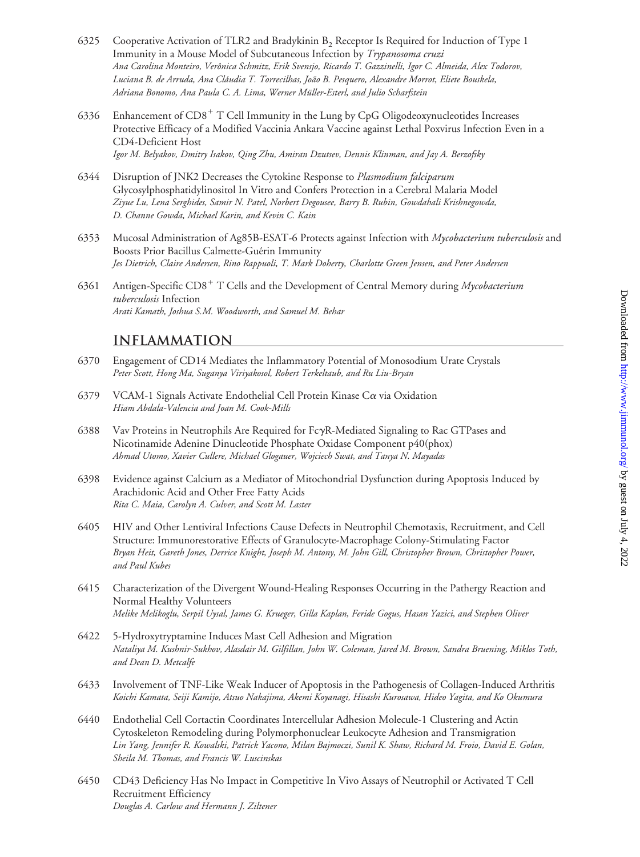- 6325 Cooperative Activation of TLR2 and Bradykinin  $B_2$  Receptor Is Required for Induction of Type 1 Immunity in a Mouse Model of Subcutaneous Infection by *Trypanosoma cruzi Ana Carolina Monteiro, Veroˆnica Schmitz, Erik Svensjo, Ricardo T. Gazzinelli, Igor C. Almeida, Alex Todorov, Luciana B. de Arruda, Ana Cla´udia T. Torrecilhas, Joa˜o B. Pesquero, Alexandre Morrot, Eliete Bouskela, Adriana Bonomo, Ana Paula C. A. Lima, Werner Mu¨ller-Esterl, and Julio Scharfstein*
- 6336 Enhancement of  $CD8<sup>+</sup> T$  Cell Immunity in the Lung by CpG Oligodeoxynucleotides Increases Protective Efficacy of a Modified Vaccinia Ankara Vaccine against Lethal Poxvirus Infection Even in a CD4-Deficient Host *Igor M. Belyakov, Dmitry Isakov, Qing Zhu, Amiran Dzutsev, Dennis Klinman, and Jay A. Berzofsky*
- 6344 Disruption of JNK2 Decreases the Cytokine Response to *Plasmodium falciparum* Glycosylphosphatidylinositol In Vitro and Confers Protection in a Cerebral Malaria Model *Ziyue Lu, Lena Serghides, Samir N. Patel, Norbert Degousee, Barry B. Rubin, Gowdahali Krishnegowda, D. Channe Gowda, Michael Karin, and Kevin C. Kain*
- 6353 Mucosal Administration of Ag85B-ESAT-6 Protects against Infection with *Mycobacterium tuberculosis* and Boosts Prior Bacillus Calmette-Guérin Immunity *Jes Dietrich, Claire Andersen, Rino Rappuoli, T. Mark Doherty, Charlotte Green Jensen, and Peter Andersen*
- 6361 Antigen-Specific CD8 T Cells and the Development of Central Memory during *Mycobacterium tuberculosis* Infection *Arati Kamath, Joshua S.M. Woodworth, and Samuel M. Behar*

#### **Inflammation**

- 6370 Engagement of CD14 Mediates the Inflammatory Potential of Monosodium Urate Crystals *Peter Scott, Hong Ma, Suganya Viriyakosol, Robert Terkeltaub, and Ru Liu-Bryan*
- 6379 VCAM-1 Signals Activate Endothelial Cell Protein Kinase C $\alpha$  via Oxidation *Hiam Abdala-Valencia and Joan M. Cook-Mills*
- 6388 Vav Proteins in Neutrophils Are Required for  $Fc\gamma R$ -Mediated Signaling to Rac GTPases and Nicotinamide Adenine Dinucleotide Phosphate Oxidase Component p40(phox) *Ahmad Utomo, Xavier Cullere, Michael Glogauer, Wojciech Swat, and Tanya N. Mayadas*
- 6398 Evidence against Calcium as a Mediator of Mitochondrial Dysfunction during Apoptosis Induced by Arachidonic Acid and Other Free Fatty Acids *Rita C. Maia, Carolyn A. Culver, and Scott M. Laster*
- 6405 HIV and Other Lentiviral Infections Cause Defects in Neutrophil Chemotaxis, Recruitment, and Cell Structure: Immunorestorative Effects of Granulocyte-Macrophage Colony-Stimulating Factor *Bryan Heit, Gareth Jones, Derrice Knight, Joseph M. Antony, M. John Gill, Christopher Brown, Christopher Power, and Paul Kubes*
- 6415 Characterization of the Divergent Wound-Healing Responses Occurring in the Pathergy Reaction and Normal Healthy Volunteers *Melike Melikoglu, Serpil Uysal, James G. Krueger, Gilla Kaplan, Feride Gogus, Hasan Yazici, and Stephen Oliver*
- 6422 5-Hydroxytryptamine Induces Mast Cell Adhesion and Migration *Nataliya M. Kushnir-Sukhov, Alasdair M. Gilfillan, John W. Coleman, Jared M. Brown, Sandra Bruening, Miklos Toth, and Dean D. Metcalfe*
- 6433 Involvement of TNF-Like Weak Inducer of Apoptosis in the Pathogenesis of Collagen-Induced Arthritis *Koichi Kamata, Seiji Kamijo, Atsuo Nakajima, Akemi Koyanagi, Hisashi Kurosawa, Hideo Yagita, and Ko Okumura*
- 6440 Endothelial Cell Cortactin Coordinates Intercellular Adhesion Molecule-1 Clustering and Actin Cytoskeleton Remodeling during Polymorphonuclear Leukocyte Adhesion and Transmigration *Lin Yang, Jennifer R. Kowalski, Patrick Yacono, Milan Bajmoczi, Sunil K. Shaw, Richard M. Froio, David E. Golan, Sheila M. Thomas, and Francis W. Luscinskas*
- 6450 CD43 Deficiency Has No Impact in Competitive In Vivo Assays of Neutrophil or Activated T Cell Recruitment Efficiency *Douglas A. Carlow and Hermann J. Ziltener*